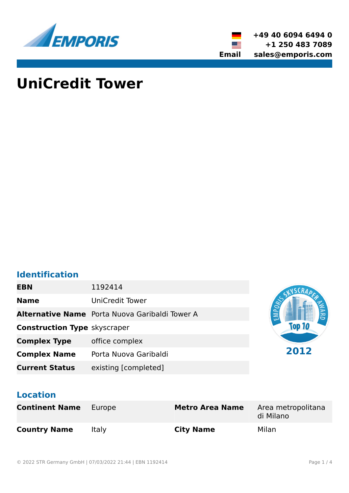

**+49 40 6094 6494 0 +1 250 483 7089 Email sales@emporis.com**

▓▆

# **UniCredit Tower**

# **Identification**

| <b>EBN</b>                          | 1192414                                               |      |
|-------------------------------------|-------------------------------------------------------|------|
| <b>Name</b>                         | <b>UniCredit Tower</b>                                | PORT |
|                                     | <b>Alternative Name</b> Porta Nuova Garibaldi Tower A | 옲    |
| <b>Construction Type skyscraper</b> |                                                       |      |
| <b>Complex Type</b>                 | office complex                                        |      |
| <b>Complex Name</b>                 | Porta Nuova Garibaldi                                 | 2012 |
| <b>Current Status</b>               | existing [completed]                                  |      |

# **Location**

| <b>Continent Name</b> | Europe | <b>Metro Area Name</b> | Area metropolitana<br>di Milano |
|-----------------------|--------|------------------------|---------------------------------|
| <b>Country Name</b>   | Italy  | <b>City Name</b>       | Milan                           |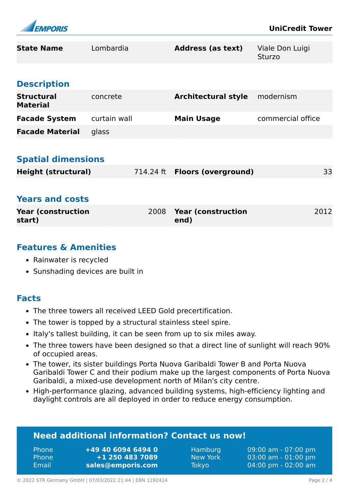

| <b>State Name</b>                    | Lombardia    |      | <b>Address (as text)</b>             | Viale Don Luigi<br><b>Sturzo</b> |      |
|--------------------------------------|--------------|------|--------------------------------------|----------------------------------|------|
| <b>Description</b>                   |              |      |                                      |                                  |      |
| <b>Structural</b><br><b>Material</b> | concrete     |      | <b>Architectural style</b>           | modernism                        |      |
| <b>Facade System</b>                 | curtain wall |      | <b>Main Usage</b>                    | commercial office                |      |
| <b>Facade Material</b>               | glass        |      |                                      |                                  |      |
|                                      |              |      |                                      |                                  |      |
| <b>Spatial dimensions</b>            |              |      |                                      |                                  |      |
| <b>Height (structural)</b>           |              |      | 714.24 ft <b>Floors (overground)</b> |                                  | 33   |
|                                      |              |      |                                      |                                  |      |
| <b>Years and costs</b>               |              |      |                                      |                                  |      |
| <b>Year (construction</b><br>start)  |              | 2008 | <b>Year (construction</b><br>end)    |                                  | 2012 |

# **Features & Amenities**

- Rainwater is recycled
- Sunshading devices are built in

### **Facts**

- The three towers all received LEED Gold precertification.
- The tower is topped by a structural stainless steel spire.
- Italy's tallest building, it can be seen from up to six miles away.
- The three towers have been designed so that a direct line of sunlight will reach 90% of occupied areas.
- The tower, its sister buildings Porta Nuova Garibaldi Tower B and Porta Nuova Garibaldi Tower C and their podium make up the largest components of Porta Nuova Garibaldi, a mixed-use development north of Milan's city centre.
- High-performance glazing, advanced building systems, high-efficiency lighting and daylight controls are all deployed in order to reduce energy consumption.

## **Need additional information? Contact us now!**

Phone **+49 40 6094 6494 0** Phone **+1 250 483 7089** Email **<sales@emporis.com>**

Hamburg 09:00 am - 07:00 pm New York 03:00 am - 01:00 pm Tokyo 04:00 pm - 02:00 am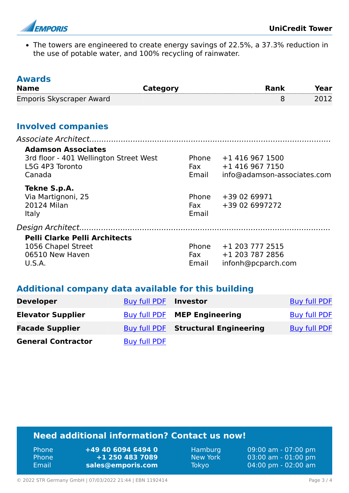

• The towers are engineered to create energy savings of 22.5%, a 37.3% reduction in the use of potable water, and 100% recycling of rainwater.

| <b>Awards</b><br><b>Name</b>                                                                     | <b>Category</b> |                              | <b>Rank</b>                                                       | Year |
|--------------------------------------------------------------------------------------------------|-----------------|------------------------------|-------------------------------------------------------------------|------|
| Emporis Skyscraper Award                                                                         |                 |                              | 8                                                                 | 2012 |
| <b>Involved companies</b>                                                                        |                 |                              |                                                                   |      |
|                                                                                                  |                 |                              |                                                                   |      |
| <b>Adamson Associates</b><br>3rd floor - 401 Wellington Street West<br>L5G 4P3 Toronto<br>Canada |                 | Phone<br><b>Fax</b><br>Email | +1 416 967 1500<br>+1 416 967 7150<br>info@adamson-associates.com |      |
| Tekne S.p.A.<br>Via Martignoni, 25<br>20124 Milan<br><b>Italy</b>                                |                 | Phone<br><b>Fax</b><br>Email | +39 02 69971<br>+39 02 6997272                                    |      |
|                                                                                                  |                 |                              |                                                                   |      |
| <b>Pelli Clarke Pelli Architects</b><br>1056 Chapel Street<br>06510 New Haven<br>U.S.A.          |                 | Phone<br>Fax<br>Email        | +1 203 777 2515<br>+1 203 787 2856<br>infonh@pcparch.com          |      |

## **Additional company data available for this building**

| <b>Developer</b>          | Buy full PDF | Investor                            | <b>Buy full PDF</b> |
|---------------------------|--------------|-------------------------------------|---------------------|
| <b>Elevator Supplier</b>  |              | Buy full PDF MEP Engineering        | <b>Buy full PDF</b> |
| <b>Facade Supplier</b>    |              | Buy full PDF Structural Engineering | <b>Buy full PDF</b> |
| <b>General Contractor</b> | Buy full PDF |                                     |                     |

# **Need additional information? Contact us now!**

| <b>Phone</b> | +49 40 6094 6494 0 |
|--------------|--------------------|
| <b>Phone</b> | +1 250 483 7089    |
| Email        | sales@emporis.com  |

Hamburg 09:00 am - 07:00 pm<br>New York 03:00 am - 01:00 pm New York 03:00 am - 01:00 pm<br>Tokyo 04:00 pm - 02:00 am 04:00 pm - 02:00 am